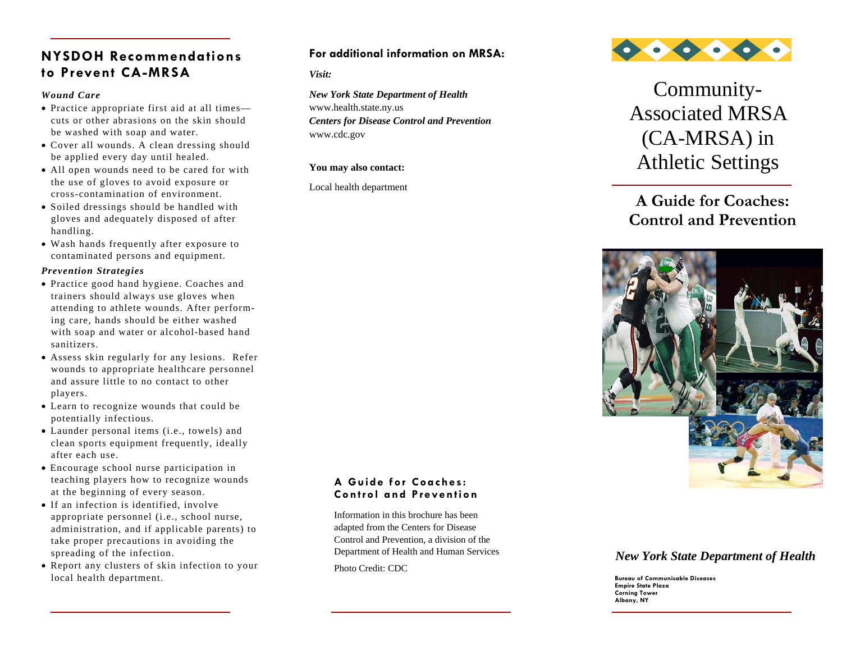# **NYSDOH Recommendations to Prevent CA-MRSA**

## *Wound Care*

- Practice appropriate first aid at all times cuts or other abrasions on the skin should be washed with soap and water.
- Cover all wounds. A clean dressing should be applied every day until healed.
- All open wounds need to be cared for with the use of gloves to avoid exposure or cross-contamination of environment.
- Soiled dressings should be handled with gloves and adequately disposed of after handling.
- Wash hands frequently after exposure to contaminated persons and equipment.

#### *Prevention Strategies*

- Practice good hand hygiene. Coaches and trainers should always use gloves when attending to athlete wounds. After perform ing care, hands should be either washed with soap and water or alcohol-based hand sanitizers.
- Assess skin regularly for any lesions. Refer wounds to appropriate healthcare personnel and assure little to no contact to other players.
- Learn to recognize wounds that could be potentially infectious.
- Launder personal items (i.e., towels) and clean sports equipment frequently, ideally after each use.
- Encourage school nurse participation in teaching players how to recognize wounds at the beginning of every season.
- If an infection is identified, involve appropriate personnel (i.e., school nurse, administration, and if applicable parents) to take proper precautions in avoiding the spreading of the infection.
- Report any clusters of skin infection to your local health department.

## **For additional information on MRSA:**

*Visit:* 

*New York State Department of Health*  www.health.state.ny.us *Centers for Disease Control and Prevention*  www.cdc.gov

#### **You may also contact:**

Local health department



Community-Associated MRSA (CA-MRSA) in Athletic Settings

# **A Guide for Coaches: Control and Prevention**



## **A Guide for Coaches: Control and Prevention**

Information in this brochure has been adapted from the Centers for Disease Control and Prevention, a division of the Department of Health and Human Services

Photo Credit: CDC

## *New York State Department of Health*

**Bureau of Communicable Diseases Empire State Plaza Corning Tower Albany, NY**